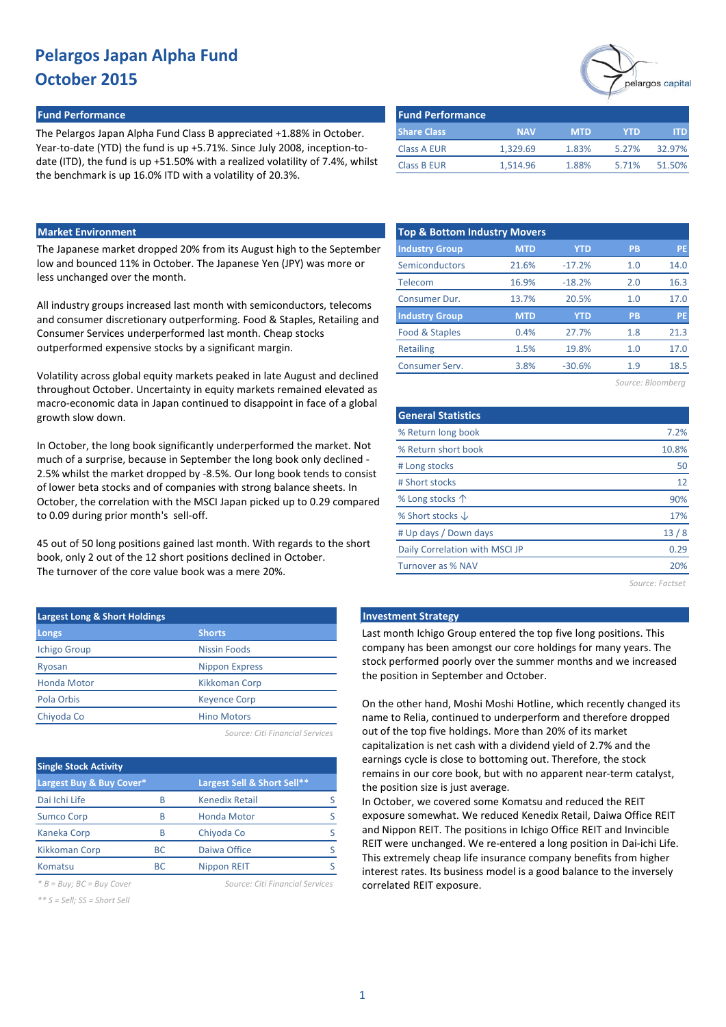# elargos capital

### **Fund Performance Fund Performance**

The Pelargos Japan Alpha Fund Class B appreciated +1.88% in October. Year-to-date (YTD) the fund is up +5.71%. Since July 2008, inception-todate (ITD), the fund is up +51.50% with a realized volatility of 7.4%, whilst the benchmark is up 16.0% ITD with a volatility of 20.3%.

| <b>Fund Performance</b> |            |            |       |        |
|-------------------------|------------|------------|-------|--------|
| <b>Share Class</b>      | <b>NAV</b> | <b>MTD</b> | YTD   | ITD.   |
| <b>Class A EUR</b>      | 1.329.69   | 1.83%      | 5.27% | 32.97% |
| Class B EUR             | 1,514.96   | 1.88%      | 5.71% | 51.50% |

### **Market Environment**

The Japanese market dropped 20% from its August high to the September low and bounced 11% in October. The Japanese Yen (JPY) was more or less unchanged over the month.

All industry groups increased last month with semiconductors, telecoms and consumer discretionary outperforming. Food & Staples, Retailing and Consumer Services underperformed last month. Cheap stocks outperformed expensive stocks by a significant margin.

Volatility across global equity markets peaked in late August and declined throughout October. Uncertainty in equity markets remained elevated as macro-economic data in Japan continued to disappoint in face of a global growth slow down.

In October, the long book significantly underperformed the market. Not much of a surprise, because in September the long book only declined - 2.5% whilst the market dropped by -8.5%. Our long book tends to consist of lower beta stocks and of companies with strong balance sheets. In October, the correlation with the MSCI Japan picked up to 0.29 compared to 0.09 during prior month's sell-off.

45 out of 50 long positions gained last month. With regards to the short book, only 2 out of the 12 short positions declined in October. The turnover of the core value book was a mere 20%.

| <b>Largest Long &amp; Short Holdings</b> |                       |  |  |  |  |  |  |
|------------------------------------------|-----------------------|--|--|--|--|--|--|
| Longs                                    | <b>Shorts</b>         |  |  |  |  |  |  |
| <b>Ichigo Group</b>                      | Nissin Foods          |  |  |  |  |  |  |
| Ryosan                                   | <b>Nippon Express</b> |  |  |  |  |  |  |
| <b>Honda Motor</b>                       | <b>Kikkoman Corp</b>  |  |  |  |  |  |  |
| Pola Orbis                               | <b>Keyence Corp</b>   |  |  |  |  |  |  |
| Chiyoda Co                               | <b>Hino Motors</b>    |  |  |  |  |  |  |
|                                          |                       |  |  |  |  |  |  |

*Source: Citi Financial Services*

| <b>Single Stock Activity</b> |     |                             |  |  |  |  |
|------------------------------|-----|-----------------------------|--|--|--|--|
| Largest Buy & Buy Cover*     |     | Largest Sell & Short Sell** |  |  |  |  |
| Dai Ichi Life                | R   | <b>Kenedix Retail</b>       |  |  |  |  |
| <b>Sumco Corp</b>            | B   | <b>Honda Motor</b>          |  |  |  |  |
| Kaneka Corp                  | R   | Chiyoda Co                  |  |  |  |  |
| <b>Kikkoman Corp</b>         | ВC  | Daiwa Office                |  |  |  |  |
| Komatsu                      | BC. | <b>Nippon REIT</b>          |  |  |  |  |

*\* B = Buy; BC = Buy Cover Source: Citi Financial Services*

*\*\* S = Sell; SS = Short Sell*

| <b>Top &amp; Bottom Industry Movers</b> |            |            |                   |           |
|-----------------------------------------|------------|------------|-------------------|-----------|
| <b>Industry Group</b>                   | <b>MTD</b> | <b>YTD</b> | <b>PB</b>         | <b>PE</b> |
| Semiconductors                          | 21.6%      | $-17.2%$   | 1.0               | 14.0      |
| Telecom                                 | 16.9%      | $-18.2%$   | 2.0               | 16.3      |
| Consumer Dur.                           | 13.7%      | 20.5%      | 1.0               | 17.0      |
| <b>Industry Group</b>                   | <b>MTD</b> | <b>YTD</b> | <b>PB</b>         | <b>PE</b> |
| Food & Staples                          | 0.4%       | 27.7%      | 1.8               | 21.3      |
| <b>Retailing</b>                        | 1.5%       | 19.8%      | 1.0               | 17.0      |
| Consumer Serv.                          | 3.8%       | $-30.6%$   | 1.9               | 18.5      |
|                                         |            |            | Source: Bloomberg |           |

| <b>General Statistics</b>      |       |
|--------------------------------|-------|
| % Return long book             | 7.2%  |
| % Return short book            | 10.8% |
| # Long stocks                  | 50    |
| # Short stocks                 | 12    |
| % Long stocks 个                | 90%   |
| % Short stocks $\downarrow$    | 17%   |
| # Up days / Down days          | 13/8  |
| Daily Correlation with MSCI JP | 0.29  |
| Turnover as % NAV              | 20%   |
|                                |       |

*Source: Factset*

### **Investment Strategy**

Last month Ichigo Group entered the top five long positions. This company has been amongst our core holdings for many years. The stock performed poorly over the summer months and we increased the position in September and October.

On the other hand, Moshi Moshi Hotline, which recently changed its name to Relia, continued to underperform and therefore dropped out of the top five holdings. More than 20% of its market capitalization is net cash with a dividend yield of 2.7% and the earnings cycle is close to bottoming out. Therefore, the stock remains in our core book, but with no apparent near-term catalyst, the position size is just average.

In October, we covered some Komatsu and reduced the REIT exposure somewhat. We reduced Kenedix Retail, Daiwa Office REIT and Nippon REIT. The positions in Ichigo Office REIT and Invincible REIT were unchanged. We re-entered a long position in Dai-ichi Life. This extremely cheap life insurance company benefits from higher interest rates. Its business model is a good balance to the inversely correlated REIT exposure.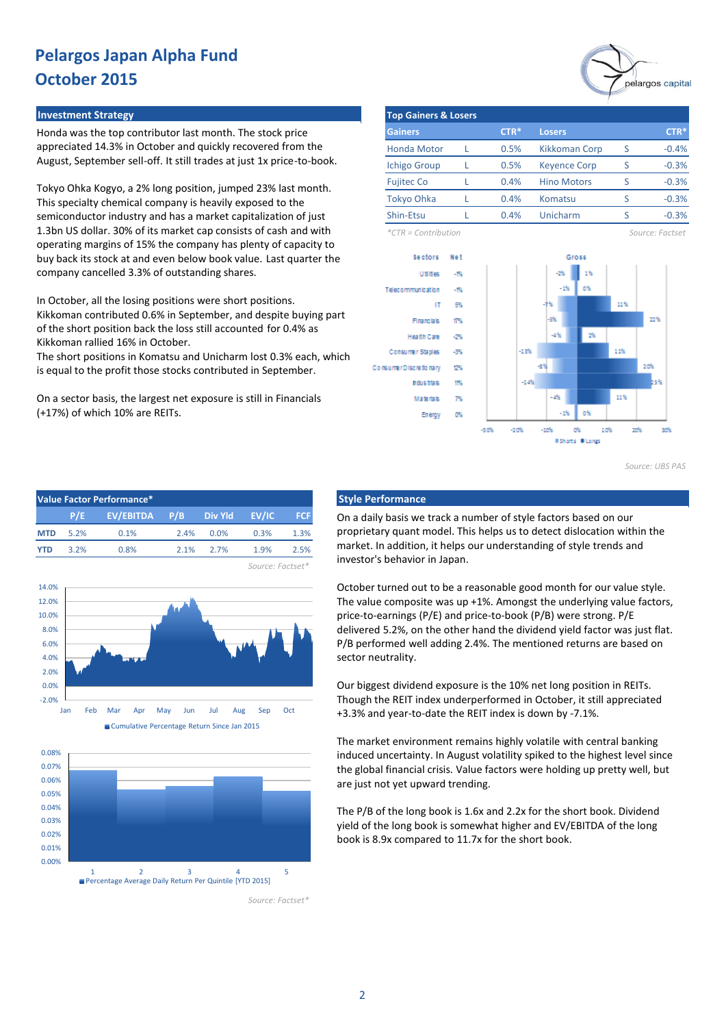### **Investment Strategy**

Honda was the top contributor last month. The stock price appreciated 14.3% in October and quickly recovered from the August, September sell-off. It still trades at just 1x price-to-book.

Tokyo Ohka Kogyo, a 2% long position, jumped 23% last month. This specialty chemical company is heavily exposed to the semiconductor industry and has a market capitalization of just 1.3bn US dollar. 30% of its market cap consists of cash and with operating margins of 15% the company has plenty of capacity to buy back its stock at and even below book value. Last quarter the company cancelled 3.3% of outstanding shares.

In October, all the losing positions were short positions. Kikkoman contributed 0.6% in September, and despite buying part of the short position back the loss still accounted for 0.4% as Kikkoman rallied 16% in October.

The short positions in Komatsu and Unicharm lost 0.3% each, which is equal to the profit those stocks contributed in September.

On a sector basis, the largest net exposure is still in Financials (+17%) of which 10% are REITs.

| <b>Top Gainers &amp; Losers</b> |      |        |                      |   |                 |
|---------------------------------|------|--------|----------------------|---|-----------------|
| <b>Gainers</b>                  |      | $CTR*$ | <b>Losers</b>        |   | $CTR*$          |
| Honda Motor                     | L    | 0.5%   | <b>Kikkoman Corp</b> | S | $-0.4%$         |
| <b>Ichigo Group</b>             |      | 0.5%   | <b>Keyence Corp</b>  | S | $-0.3%$         |
| <b>Fujitec Co</b>               |      | 0.4%   | <b>Hino Motors</b>   | S | $-0.3%$         |
| Tokyo Ohka                      |      | 0.4%   | Komatsu              | S | $-0.3%$         |
| Shin-Etsu                       |      | 0.4%   | Unicharm             | S | $-0.3%$         |
| $*CTR =$ Contribution           |      |        |                      |   | Source: Factset |
| <b>Sectors</b>                  | Ne f |        | Gross                |   |                 |
| Utilities                       | -1%  |        | $-25$<br>1%          |   |                 |
| <b>Telecommunication</b>        | -1%  |        | o%<br>$-1%$          |   |                 |



*Source: UBS PAS*

#### **Value Factor Performance\* Style Performance P/E P/B FCF EV/EBITDA MTD** 5.2% 0.1% 2.4% 0.0% 0.3% 1.3% **YTD** 3.2% 0.8% 2.1% 2.7% 1.9% 2.5% **EV/IC** 1.9% **Div Yld** 0.0% 2.7% 0.3%





*Source: Factset\**

On a daily basis we track a number of style factors based on our proprietary quant model. This helps us to detect dislocation within the market. In addition, it helps our understanding of style trends and investor's behavior in Japan.

October turned out to be a reasonable good month for our value style. The value composite was up +1%. Amongst the underlying value factors, price-to-earnings (P/E) and price-to-book (P/B) were strong. P/E delivered 5.2%, on the other hand the dividend yield factor was just flat. P/B performed well adding 2.4%. The mentioned returns are based on sector neutrality.

Our biggest dividend exposure is the 10% net long position in REITs. Though the REIT index underperformed in October, it still appreciated +3.3% and year-to-date the REIT index is down by -7.1%.

The market environment remains highly volatile with central banking induced uncertainty. In August volatility spiked to the highest level since the global financial crisis. Value factors were holding up pretty well, but are just not yet upward trending.

The P/B of the long book is 1.6x and 2.2x for the short book. Dividend yield of the long book is somewhat higher and EV/EBITDA of the long book is 8.9x compared to 11.7x for the short book.

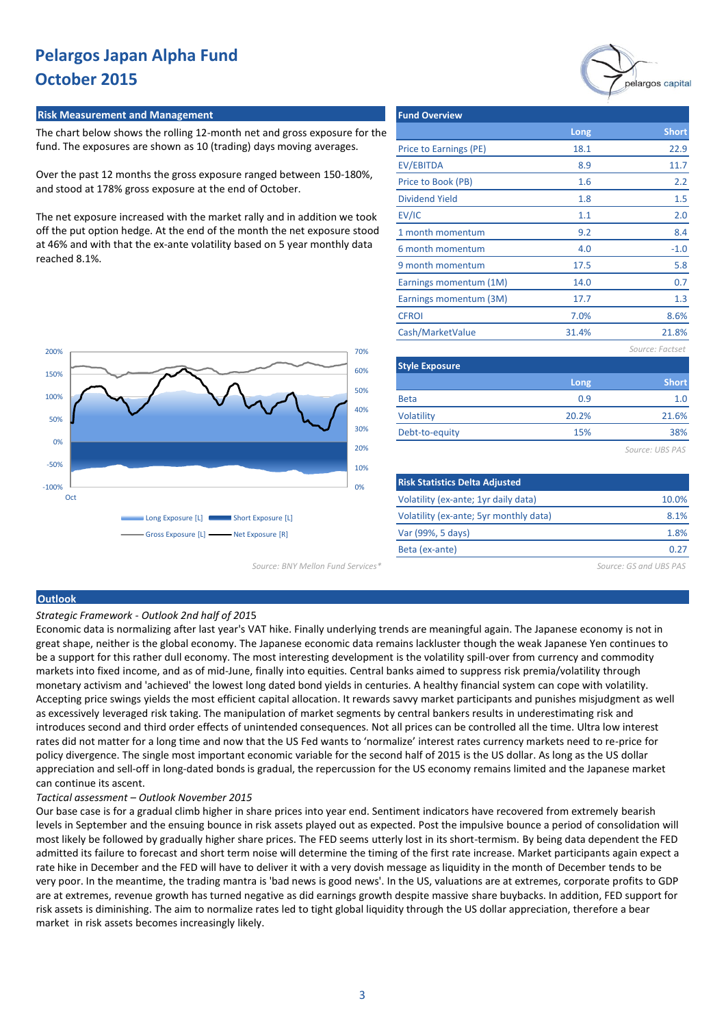### **Risk Measurement and Management**

The chart below shows the rolling 12-month net and gross exposure for the fund. The exposures are shown as 10 (trading) days moving averages.

Over the past 12 months the gross exposure ranged between 150-180%, and stood at 178% gross exposure at the end of October.

The net exposure increased with the market rally and in addition we took off the put option hedge. At the end of the month the net exposure stood at 46% and with that the ex-ante volatility based on 5 year monthly data reached 8.1%.



| <b>Fund Overview</b>   |       |                 |
|------------------------|-------|-----------------|
|                        | Long  | <b>Short</b>    |
| Price to Earnings (PE) | 18.1  | 22.9            |
| EV/EBITDA              | 8.9   | 11.7            |
| Price to Book (PB)     | 1.6   | 2.2             |
| <b>Dividend Yield</b>  | 1.8   | 1.5             |
| EV/IC                  | 1.1   | 2.0             |
| 1 month momentum       | 9.2   | 8.4             |
| 6 month momentum       | 4.0   | $-1.0$          |
| 9 month momentum       | 17.5  | 5.8             |
| Earnings momentum (1M) | 14.0  | 0.7             |
| Earnings momentum (3M) | 17.7  | 1.3             |
| <b>CFROI</b>           | 7.0%  | 8.6%            |
| Cash/MarketValue       | 31.4% | 21.8%           |
|                        |       | Source: Factset |
| <b>Style Exposure</b>  |       |                 |
|                        | Long  | <b>Short</b>    |
| <b>Beta</b>            | 0.9   | 1.0             |
| Volatility             | 20.2% | 21.6%           |
| Debt-to-equity         | 15%   | 38%             |
|                        |       | Source: UBS PAS |
|                        |       |                 |

| 0%                                | <b>Risk Statistics Delta Adjusted</b>  |                        |
|-----------------------------------|----------------------------------------|------------------------|
|                                   | Volatility (ex-ante; 1yr daily data)   | 10.0%                  |
| <b>Exposure [L]</b>               | Volatility (ex-ante; 5yr monthly data) | 8.1%                   |
| xposure [R]                       | Var (99%, 5 days)                      | 1.8%                   |
|                                   | Beta (ex-ante)                         | 0.27                   |
| Source: BNY Mellon Fund Services* |                                        | Source: GS and UBS PAS |

#### **Outlook**

*Strategic Framework - Outlook 2nd half of 201*5

Economic data is normalizing after last year's VAT hike. Finally underlying trends are meaningful again. The Japanese economy is not in great shape, neither is the global economy. The Japanese economic data remains lackluster though the weak Japanese Yen continues to be a support for this rather dull economy. The most interesting development is the volatility spill-over from currency and commodity markets into fixed income, and as of mid-June, finally into equities. Central banks aimed to suppress risk premia/volatility through monetary activism and 'achieved' the lowest long dated bond yields in centuries. A healthy financial system can cope with volatility. Accepting price swings yields the most efficient capital allocation. It rewards savvy market participants and punishes misjudgment as well as excessively leveraged risk taking. The manipulation of market segments by central bankers results in underestimating risk and introduces second and third order effects of unintended consequences. Not all prices can be controlled all the time. Ultra low interest rates did not matter for a long time and now that the US Fed wants to 'normalize' interest rates currency markets need to re-price for policy divergence. The single most important economic variable for the second half of 2015 is the US dollar. As long as the US dollar appreciation and sell-off in long-dated bonds is gradual, the repercussion for the US economy remains limited and the Japanese market can continue its ascent.

### *Tactical assessment – Outlook November 2015*

Our base case is for a gradual climb higher in share prices into year end. Sentiment indicators have recovered from extremely bearish levels in September and the ensuing bounce in risk assets played out as expected. Post the impulsive bounce a period of consolidation will most likely be followed by gradually higher share prices. The FED seems utterly lost in its short-termism. By being data dependent the FED admitted its failure to forecast and short term noise will determine the timing of the first rate increase. Market participants again expect a rate hike in December and the FED will have to deliver it with a very dovish message as liquidity in the month of December tends to be very poor. In the meantime, the trading mantra is 'bad news is good news'. In the US, valuations are at extremes, corporate profits to GDP are at extremes, revenue growth has turned negative as did earnings growth despite massive share buybacks. In addition, FED support for risk assets is diminishing. The aim to normalize rates led to tight global liquidity through the US dollar appreciation, therefore a bear market in risk assets becomes increasingly likely.

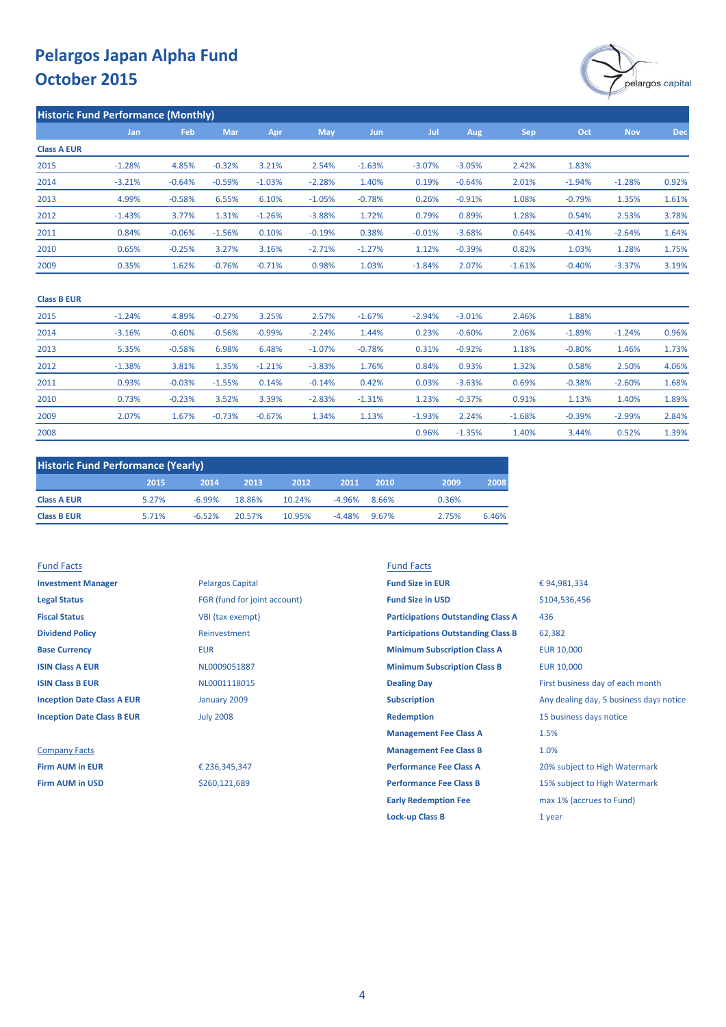

| <b>Historic Fund Performance (Monthly)</b> |        |                                   |       |  |
|--------------------------------------------|--------|-----------------------------------|-------|--|
| 'Jan                                       | NFebru | $\blacksquare$ Mar $\blacksquare$ | - Apr |  |

|                    | Jan      | Feb      | Mar       | Apr      | May      | <b>Jun</b> | Jul      | Aug      | Sep      | Oct      | <b>Nov</b> | <b>Dec</b> |
|--------------------|----------|----------|-----------|----------|----------|------------|----------|----------|----------|----------|------------|------------|
| <b>Class A EUR</b> |          |          |           |          |          |            |          |          |          |          |            |            |
| 2015               | $-1.28%$ | 4.85%    | $-0.32%$  | 3.21%    | 2.54%    | $-1.63%$   | $-3.07%$ | $-3.05%$ | 2.42%    | 1.83%    |            |            |
| 2014               | $-3.21%$ | $-0.64%$ | $-0.59\%$ | $-1.03%$ | $-2.28%$ | 1.40%      | 0.19%    | $-0.64%$ | 2.01%    | $-1.94%$ | $-1.28%$   | 0.92%      |
| 2013               | 4.99%    | $-0.58%$ | 6.55%     | 6.10%    | $-1.05%$ | $-0.78%$   | 0.26%    | $-0.91%$ | 1.08%    | $-0.79%$ | 1.35%      | 1.61%      |
| 2012               | $-1.43%$ | 3.77%    | 1.31%     | $-1.26%$ | $-3.88%$ | 1.72%      | 0.79%    | 0.89%    | 1.28%    | 0.54%    | 2.53%      | 3.78%      |
| 2011               | 0.84%    | $-0.06%$ | $-1.56%$  | 0.10%    | $-0.19%$ | 0.38%      | $-0.01%$ | $-3.68%$ | 0.64%    | $-0.41%$ | $-2.64%$   | 1.64%      |
| 2010               | 0.65%    | $-0.25%$ | 3.27%     | 3.16%    | $-2.71%$ | $-1.27%$   | 1.12%    | $-0.39%$ | 0.82%    | 1.03%    | 1.28%      | 1.75%      |
| 2009               | 0.35%    | 1.62%    | $-0.76%$  | $-0.71%$ | 0.98%    | 1.03%      | $-1.84%$ | 2.07%    | $-1.61%$ | $-0.40%$ | $-3.37%$   | 3.19%      |
|                    |          |          |           |          |          |            |          |          |          |          |            |            |

### **Class B EUR**

| 2015 | $-1.24%$ | 4.89%    | $-0.27%$ | 3.25%    | 2.57%    | $-1.67%$ | $-2.94%$ | $-3.01%$ | 2.46%    | 1.88%    |          |       |
|------|----------|----------|----------|----------|----------|----------|----------|----------|----------|----------|----------|-------|
| 2014 | $-3.16%$ | $-0.60%$ | $-0.56%$ | $-0.99%$ | $-2.24%$ | 1.44%    | 0.23%    | $-0.60%$ | 2.06%    | $-1.89%$ | $-1.24%$ | 0.96% |
| 2013 | 5.35%    | $-0.58%$ | 6.98%    | 6.48%    | $-1.07%$ | $-0.78%$ | 0.31%    | $-0.92%$ | 1.18%    | $-0.80%$ | 1.46%    | 1.73% |
| 2012 | $-1.38%$ | 3.81%    | 1.35%    | $-1.21%$ | $-3.83%$ | 1.76%    | 0.84%    | 0.93%    | 1.32%    | 0.58%    | 2.50%    | 4.06% |
| 2011 | 0.93%    | $-0.03%$ | $-1.55%$ | 0.14%    | $-0.14%$ | 0.42%    | 0.03%    | $-3.63%$ | 0.69%    | $-0.38%$ | $-2.60%$ | 1.68% |
| 2010 | 0.73%    | $-0.23%$ | 3.52%    | 3.39%    | $-2.83%$ | $-1.31%$ | 1.23%    | $-0.37%$ | 0.91%    | 1.13%    | 1.40%    | 1.89% |
| 2009 | 2.07%    | 1.67%    | $-0.73%$ | $-0.67%$ | 1.34%    | 1.13%    | $-1.93%$ | 2.24%    | $-1.68%$ | $-0.39%$ | $-2.99%$ | 2.84% |
| 2008 |          |          |          |          |          |          | 0.96%    | $-1.35%$ | 1.40%    | 3.44%    | 0.52%    | 1.39% |

| <b>Historic Fund Performance (Yearly)</b> |       |          |        |        |          |       |       |       |  |  |  |  |
|-------------------------------------------|-------|----------|--------|--------|----------|-------|-------|-------|--|--|--|--|
|                                           | 2015  | 2014     | 2013   | 2012   | 2011     | 2010  | 2009  | 2008  |  |  |  |  |
| <b>Class A EUR</b>                        | 5.27% | $-6.99%$ | 18.86% | 10.24% | $-4.96%$ | 8.66% | 0.36% |       |  |  |  |  |
| <b>Class B EUR</b>                        | 5.71% | $-6.52%$ | 20.57% | 10.95% | $-4.48%$ | 9.67% | 2.75% | 6.46% |  |  |  |  |

| <b>Fund Facts</b>                 |                              | <b>Fund Facts</b>                         |                                         |
|-----------------------------------|------------------------------|-------------------------------------------|-----------------------------------------|
| <b>Investment Manager</b>         | <b>Pelargos Capital</b>      | <b>Fund Size in EUR</b>                   | €94,981,334                             |
| <b>Legal Status</b>               | FGR (fund for joint account) | <b>Fund Size in USD</b>                   | \$104,536,456                           |
| <b>Fiscal Status</b>              | VBI (tax exempt)             | <b>Participations Outstanding Class A</b> | 436                                     |
| <b>Dividend Policy</b>            | Reinvestment                 | <b>Participations Outstanding Class B</b> | 62,382                                  |
| <b>Base Currency</b>              | <b>EUR</b>                   | <b>Minimum Subscription Class A</b>       | <b>EUR 10,000</b>                       |
| <b>ISIN Class A EUR</b>           | NL0009051887                 | <b>Minimum Subscription Class B</b>       | <b>EUR 10,000</b>                       |
| <b>ISIN Class B EUR</b>           | NL0001118015                 | <b>Dealing Day</b>                        | First business day of each month        |
| <b>Inception Date Class A EUR</b> | January 2009                 | <b>Subscription</b>                       | Any dealing day, 5 business days notice |
| <b>Inception Date Class B EUR</b> | <b>July 2008</b>             | <b>Redemption</b>                         | 15 business days notice                 |
|                                   |                              | <b>Management Fee Class A</b>             | 1.5%                                    |
| <b>Company Facts</b>              |                              | <b>Management Fee Class B</b>             | 1.0%                                    |
| <b>Firm AUM in EUR</b>            | € 236,345,347                | <b>Performance Fee Class A</b>            | 20% subject to High Watermark           |
| <b>Firm AUM in USD</b>            | \$260,121,689                | <b>Performance Fee Class B</b>            | 15% subject to High Watermark           |
|                                   |                              | <b>Early Redemption Fee</b>               | max 1% (accrues to Fund)                |
|                                   |                              | <b>Lock-up Class B</b>                    | 1 year                                  |